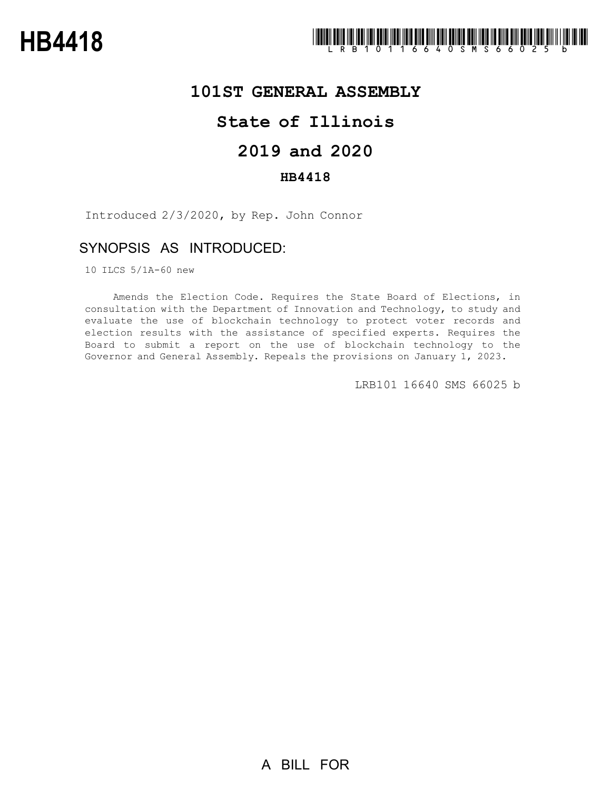

# **101ST GENERAL ASSEMBLY**

# **State of Illinois**

## **2019 and 2020**

### **HB4418**

Introduced 2/3/2020, by Rep. John Connor

### SYNOPSIS AS INTRODUCED:

10 ILCS 5/1A-60 new

Amends the Election Code. Requires the State Board of Elections, in consultation with the Department of Innovation and Technology, to study and evaluate the use of blockchain technology to protect voter records and election results with the assistance of specified experts. Requires the Board to submit a report on the use of blockchain technology to the Governor and General Assembly. Repeals the provisions on January 1, 2023.

LRB101 16640 SMS 66025 b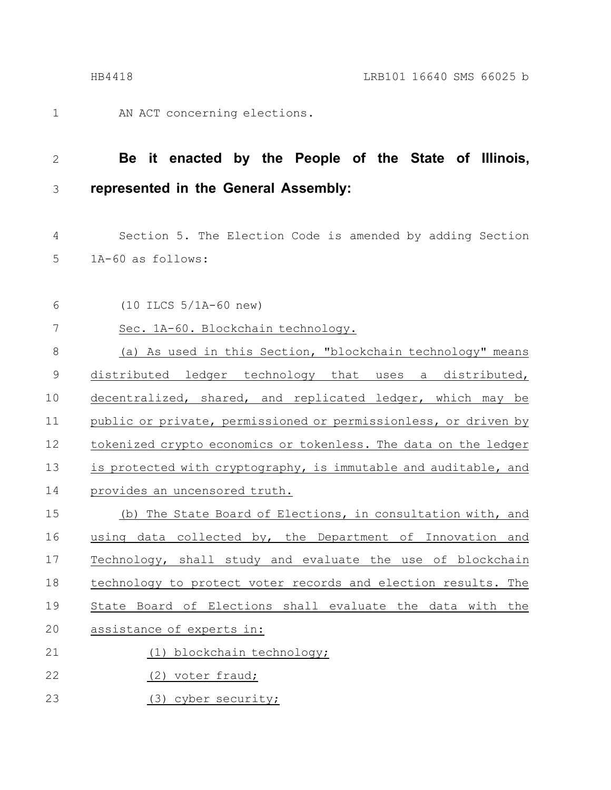1

AN ACT concerning elections.

#### **Be it enacted by the People of the State of Illinois, represented in the General Assembly:** 2 3

Section 5. The Election Code is amended by adding Section 1A-60 as follows: 4 5

(10 ILCS 5/1A-60 new) 6

Sec. 1A-60. Blockchain technology. 7

(a) As used in this Section, "blockchain technology" means distributed ledger technology that uses a distributed, decentralized, shared, and replicated ledger, which may be public or private, permissioned or permissionless, or driven by tokenized crypto economics or tokenless. The data on the ledger is protected with cryptography, is immutable and auditable, and provides an uncensored truth. 8 9 10 11 12 13 14

(b) The State Board of Elections, in consultation with, and using data collected by, the Department of Innovation and Technology, shall study and evaluate the use of blockchain technology to protect voter records and election results. The State Board of Elections shall evaluate the data with the assistance of experts in: (1) blockchain technology; 15 16 17 18 19 20 21

(2) voter fraud; 22

(3) cyber security; 23